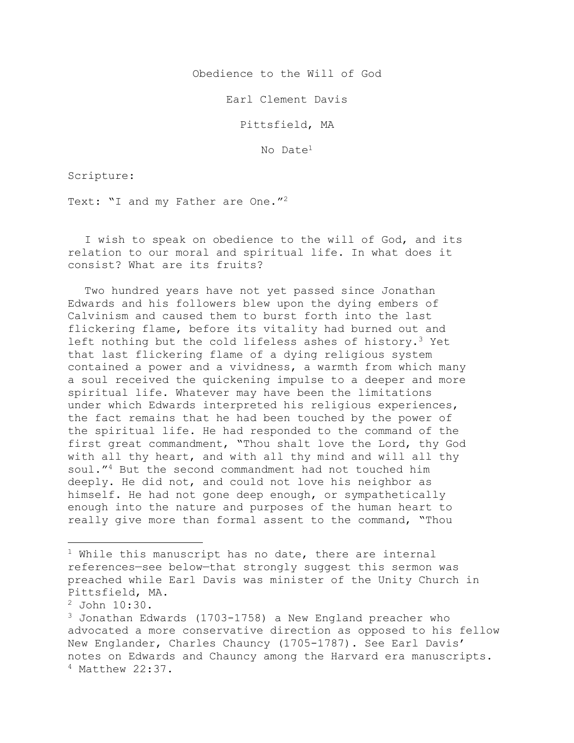Obedience to the Will of God

Earl Clement Davis

Pittsfield, MA

No Date1

Scripture:

Text: "I and my Father are One."<sup>2</sup>

I wish to speak on obedience to the will of God, and its relation to our moral and spiritual life. In what does it consist? What are its fruits?

Two hundred years have not yet passed since Jonathan Edwards and his followers blew upon the dying embers of Calvinism and caused them to burst forth into the last flickering flame, before its vitality had burned out and left nothing but the cold lifeless ashes of history.<sup>3</sup> Yet that last flickering flame of a dying religious system contained a power and a vividness, a warmth from which many a soul received the quickening impulse to a deeper and more spiritual life. Whatever may have been the limitations under which Edwards interpreted his religious experiences, the fact remains that he had been touched by the power of the spiritual life. He had responded to the command of the first great commandment, "Thou shalt love the Lord, thy God with all thy heart, and with all thy mind and will all thy soul."4 But the second commandment had not touched him deeply. He did not, and could not love his neighbor as himself. He had not gone deep enough, or sympathetically enough into the nature and purposes of the human heart to really give more than formal assent to the command, "Thou

<sup>2</sup> John 10:30.

 $1$  While this manuscript has no date, there are internal references—see below—that strongly suggest this sermon was preached while Earl Davis was minister of the Unity Church in Pittsfield, MA.

 $3$  Jonathan Edwards (1703-1758) a New England preacher who advocated a more conservative direction as opposed to his fellow New Englander, Charles Chauncy (1705-1787). See Earl Davis' notes on Edwards and Chauncy among the Harvard era manuscripts. <sup>4</sup> Matthew 22:37.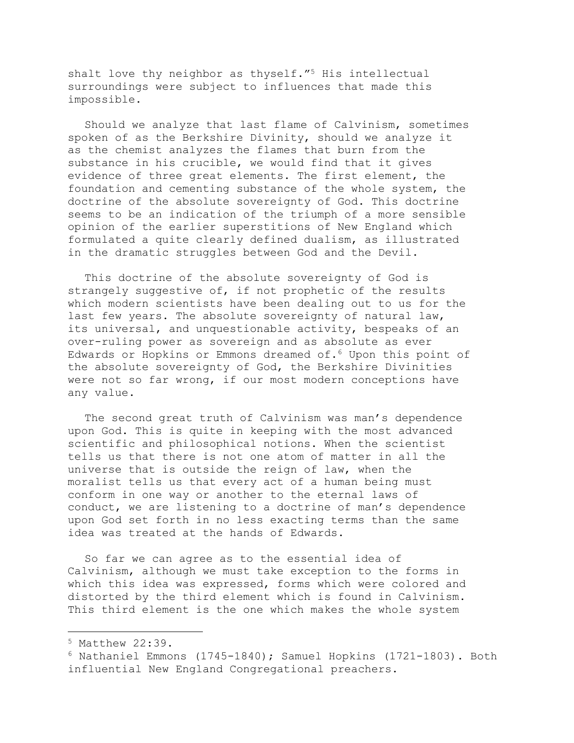shalt love thy neighbor as thyself."<sup>5</sup> His intellectual surroundings were subject to influences that made this impossible.

Should we analyze that last flame of Calvinism, sometimes spoken of as the Berkshire Divinity, should we analyze it as the chemist analyzes the flames that burn from the substance in his crucible, we would find that it gives evidence of three great elements. The first element, the foundation and cementing substance of the whole system, the doctrine of the absolute sovereignty of God. This doctrine seems to be an indication of the triumph of a more sensible opinion of the earlier superstitions of New England which formulated a quite clearly defined dualism, as illustrated in the dramatic struggles between God and the Devil.

This doctrine of the absolute sovereignty of God is strangely suggestive of, if not prophetic of the results which modern scientists have been dealing out to us for the last few years. The absolute sovereignty of natural law, its universal, and unquestionable activity, bespeaks of an over-ruling power as sovereign and as absolute as ever Edwards or Hopkins or Emmons dreamed of.6 Upon this point of the absolute sovereignty of God, the Berkshire Divinities were not so far wrong, if our most modern conceptions have any value.

The second great truth of Calvinism was man's dependence upon God. This is quite in keeping with the most advanced scientific and philosophical notions. When the scientist tells us that there is not one atom of matter in all the universe that is outside the reign of law, when the moralist tells us that every act of a human being must conform in one way or another to the eternal laws of conduct, we are listening to a doctrine of man's dependence upon God set forth in no less exacting terms than the same idea was treated at the hands of Edwards.

So far we can agree as to the essential idea of Calvinism, although we must take exception to the forms in which this idea was expressed, forms which were colored and distorted by the third element which is found in Calvinism. This third element is the one which makes the whole system

<sup>5</sup> Matthew 22:39.

 $6$  Nathaniel Emmons (1745-1840); Samuel Hopkins (1721-1803). Both influential New England Congregational preachers.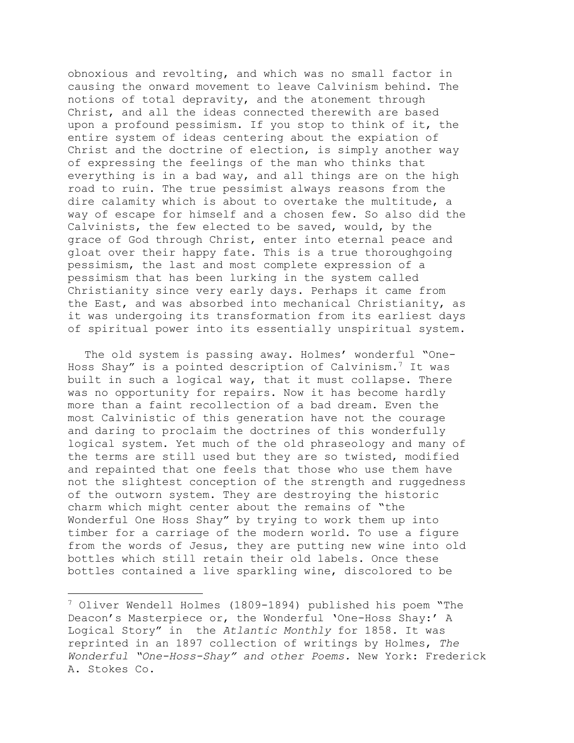obnoxious and revolting, and which was no small factor in causing the onward movement to leave Calvinism behind. The notions of total depravity, and the atonement through Christ, and all the ideas connected therewith are based upon a profound pessimism. If you stop to think of it, the entire system of ideas centering about the expiation of Christ and the doctrine of election, is simply another way of expressing the feelings of the man who thinks that everything is in a bad way, and all things are on the high road to ruin. The true pessimist always reasons from the dire calamity which is about to overtake the multitude, a way of escape for himself and a chosen few. So also did the Calvinists, the few elected to be saved, would, by the grace of God through Christ, enter into eternal peace and gloat over their happy fate. This is a true thoroughgoing pessimism, the last and most complete expression of a pessimism that has been lurking in the system called Christianity since very early days. Perhaps it came from the East, and was absorbed into mechanical Christianity, as it was undergoing its transformation from its earliest days of spiritual power into its essentially unspiritual system.

The old system is passing away. Holmes' wonderful "One-Hoss Shay" is a pointed description of Calvinism.7 It was built in such a logical way, that it must collapse. There was no opportunity for repairs. Now it has become hardly more than a faint recollection of a bad dream. Even the most Calvinistic of this generation have not the courage and daring to proclaim the doctrines of this wonderfully logical system. Yet much of the old phraseology and many of the terms are still used but they are so twisted, modified and repainted that one feels that those who use them have not the slightest conception of the strength and ruggedness of the outworn system. They are destroying the historic charm which might center about the remains of "the Wonderful One Hoss Shay" by trying to work them up into timber for a carriage of the modern world. To use a figure from the words of Jesus, they are putting new wine into old bottles which still retain their old labels. Once these bottles contained a live sparkling wine, discolored to be

<sup>7</sup> Oliver Wendell Holmes (1809-1894) published his poem "The Deacon's Masterpiece or, the Wonderful 'One-Hoss Shay:' A Logical Story" in the *Atlantic Monthly* for 1858. It was reprinted in an 1897 collection of writings by Holmes, *The Wonderful "One-Hoss-Shay" and other Poems.* New York: Frederick A. Stokes Co.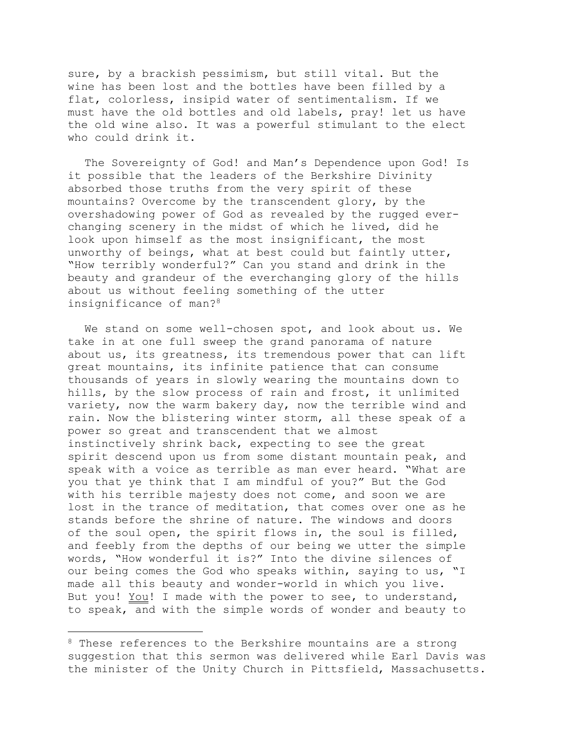sure, by a brackish pessimism, but still vital. But the wine has been lost and the bottles have been filled by a flat, colorless, insipid water of sentimentalism. If we must have the old bottles and old labels, pray! let us have the old wine also. It was a powerful stimulant to the elect who could drink it.

The Sovereignty of God! and Man's Dependence upon God! Is it possible that the leaders of the Berkshire Divinity absorbed those truths from the very spirit of these mountains? Overcome by the transcendent glory, by the overshadowing power of God as revealed by the rugged everchanging scenery in the midst of which he lived, did he look upon himself as the most insignificant, the most unworthy of beings, what at best could but faintly utter, "How terribly wonderful?" Can you stand and drink in the beauty and grandeur of the everchanging glory of the hills about us without feeling something of the utter insignificance of man?8

We stand on some well-chosen spot, and look about us. We take in at one full sweep the grand panorama of nature about us, its greatness, its tremendous power that can lift great mountains, its infinite patience that can consume thousands of years in slowly wearing the mountains down to hills, by the slow process of rain and frost, it unlimited variety, now the warm bakery day, now the terrible wind and rain. Now the blistering winter storm, all these speak of a power so great and transcendent that we almost instinctively shrink back, expecting to see the great spirit descend upon us from some distant mountain peak, and speak with a voice as terrible as man ever heard. "What are you that ye think that I am mindful of you?" But the God with his terrible majesty does not come, and soon we are lost in the trance of meditation, that comes over one as he stands before the shrine of nature. The windows and doors of the soul open, the spirit flows in, the soul is filled, and feebly from the depths of our being we utter the simple words, "How wonderful it is?" Into the divine silences of our being comes the God who speaks within, saying to us, "I made all this beauty and wonder-world in which you live. But you! You! I made with the power to see, to understand, to speak, and with the simple words of wonder and beauty to

<sup>&</sup>lt;sup>8</sup> These references to the Berkshire mountains are a strong suggestion that this sermon was delivered while Earl Davis was the minister of the Unity Church in Pittsfield, Massachusetts.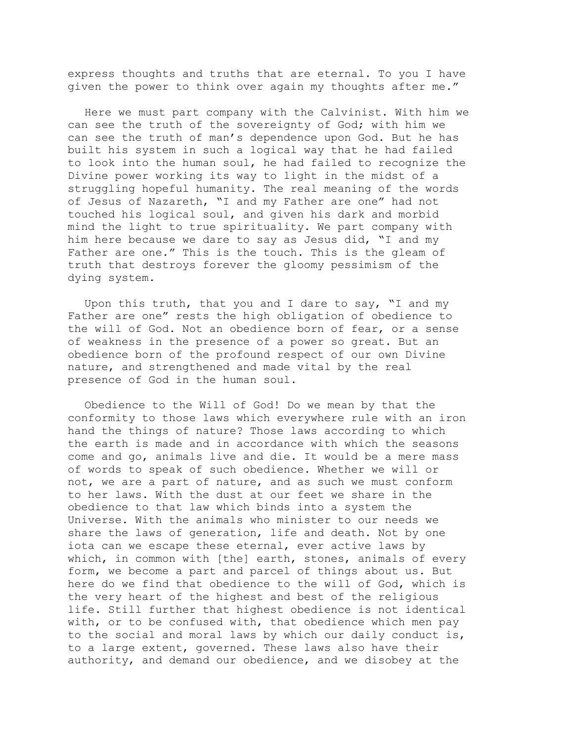express thoughts and truths that are eternal. To you I have given the power to think over again my thoughts after me."

Here we must part company with the Calvinist. With him we can see the truth of the sovereignty of God; with him we can see the truth of man's dependence upon God. But he has built his system in such a logical way that he had failed to look into the human soul, he had failed to recognize the Divine power working its way to light in the midst of a struggling hopeful humanity. The real meaning of the words of Jesus of Nazareth, "I and my Father are one" had not touched his logical soul, and given his dark and morbid mind the light to true spirituality. We part company with him here because we dare to say as Jesus did, "I and my Father are one." This is the touch. This is the gleam of truth that destroys forever the gloomy pessimism of the dying system.

Upon this truth, that you and I dare to say, "I and my Father are one" rests the high obligation of obedience to the will of God. Not an obedience born of fear, or a sense of weakness in the presence of a power so great. But an obedience born of the profound respect of our own Divine nature, and strengthened and made vital by the real presence of God in the human soul.

Obedience to the Will of God! Do we mean by that the conformity to those laws which everywhere rule with an iron hand the things of nature? Those laws according to which the earth is made and in accordance with which the seasons come and go, animals live and die. It would be a mere mass of words to speak of such obedience. Whether we will or not, we are a part of nature, and as such we must conform to her laws. With the dust at our feet we share in the obedience to that law which binds into a system the Universe. With the animals who minister to our needs we share the laws of generation, life and death. Not by one iota can we escape these eternal, ever active laws by which, in common with [the] earth, stones, animals of every form, we become a part and parcel of things about us. But here do we find that obedience to the will of God, which is the very heart of the highest and best of the religious life. Still further that highest obedience is not identical with, or to be confused with, that obedience which men pay to the social and moral laws by which our daily conduct is, to a large extent, governed. These laws also have their authority, and demand our obedience, and we disobey at the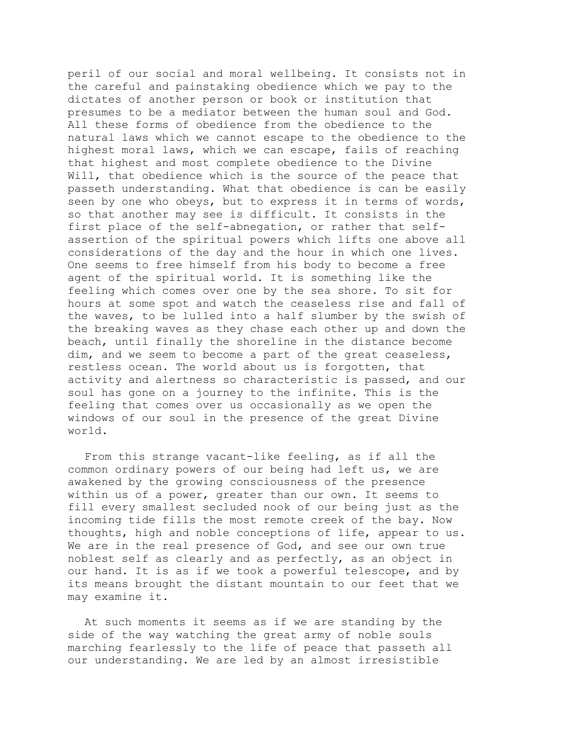peril of our social and moral wellbeing. It consists not in the careful and painstaking obedience which we pay to the dictates of another person or book or institution that presumes to be a mediator between the human soul and God. All these forms of obedience from the obedience to the natural laws which we cannot escape to the obedience to the highest moral laws, which we can escape, fails of reaching that highest and most complete obedience to the Divine Will, that obedience which is the source of the peace that passeth understanding. What that obedience is can be easily seen by one who obeys, but to express it in terms of words, so that another may see is difficult. It consists in the first place of the self-abnegation, or rather that selfassertion of the spiritual powers which lifts one above all considerations of the day and the hour in which one lives. One seems to free himself from his body to become a free agent of the spiritual world. It is something like the feeling which comes over one by the sea shore. To sit for hours at some spot and watch the ceaseless rise and fall of the waves, to be lulled into a half slumber by the swish of the breaking waves as they chase each other up and down the beach, until finally the shoreline in the distance become dim, and we seem to become a part of the great ceaseless, restless ocean. The world about us is forgotten, that activity and alertness so characteristic is passed, and our soul has gone on a journey to the infinite. This is the feeling that comes over us occasionally as we open the windows of our soul in the presence of the great Divine world.

From this strange vacant-like feeling, as if all the common ordinary powers of our being had left us, we are awakened by the growing consciousness of the presence within us of a power, greater than our own. It seems to fill every smallest secluded nook of our being just as the incoming tide fills the most remote creek of the bay. Now thoughts, high and noble conceptions of life, appear to us. We are in the real presence of God, and see our own true noblest self as clearly and as perfectly, as an object in our hand. It is as if we took a powerful telescope, and by its means brought the distant mountain to our feet that we may examine it.

At such moments it seems as if we are standing by the side of the way watching the great army of noble souls marching fearlessly to the life of peace that passeth all our understanding. We are led by an almost irresistible